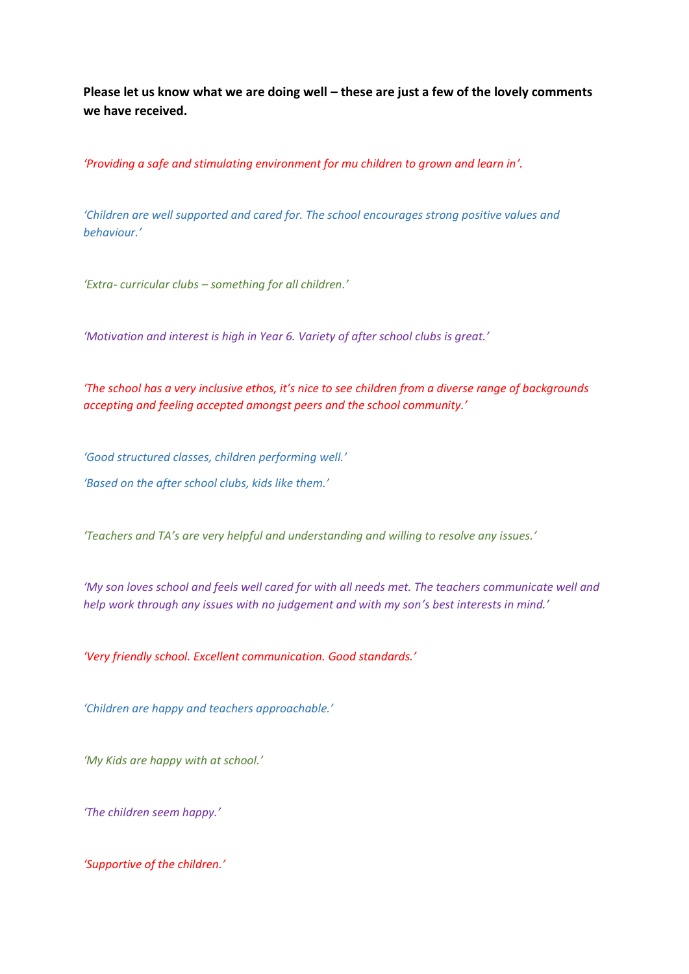**Please let us know what we are doing well – these are just a few of the lovely comments we have received.**

*'Providing a safe and stimulating environment for mu children to grown and learn in'.*

*'Children are well supported and cared for. The school encourages strong positive values and behaviour.'*

*'Extra- curricular clubs – something for all children.'*

*'Motivation and interest is high in Year 6. Variety of after school clubs is great.'*

*'The school has a very inclusive ethos, it's nice to see children from a diverse range of backgrounds accepting and feeling accepted amongst peers and the school community.'*

*'Good structured classes, children performing well.' 'Based on the after school clubs, kids like them.'*

*'Teachers and TA's are very helpful and understanding and willing to resolve any issues.'*

*'My son loves school and feels well cared for with all needs met. The teachers communicate well and help work through any issues with no judgement and with my son's best interests in mind.'*

*'Very friendly school. Excellent communication. Good standards.'*

*'Children are happy and teachers approachable.'*

*'My Kids are happy with at school.'*

*'The children seem happy.'*

*'Supportive of the children.'*